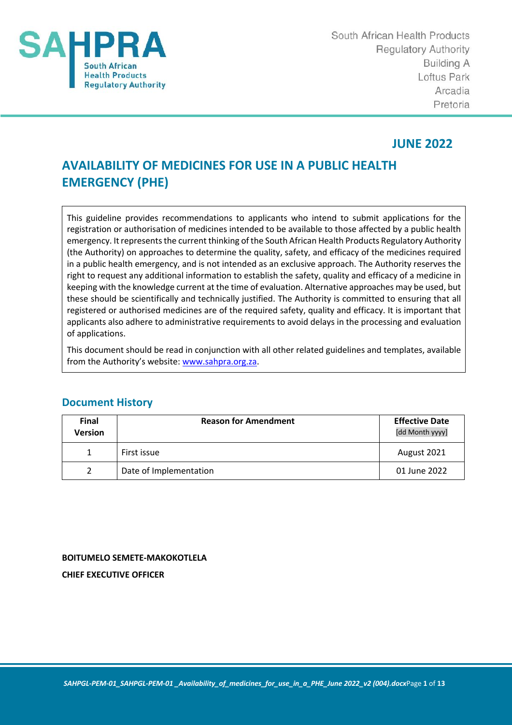

South African Health Products **Requlatory Authority Building A** Loftus Park Arcadia Pretoria

## **JUNE 2022**

# **AVAILABILITY OF MEDICINES FOR USE IN A PUBLIC HEALTH EMERGENCY (PHE)**

This guideline provides recommendations to applicants who intend to submit applications for the registration or authorisation of medicines intended to be available to those affected by a public health emergency. It represents the current thinking of the South African Health Products Regulatory Authority (the Authority) on approaches to determine the quality, safety, and efficacy of the medicines required in a public health emergency, and is not intended as an exclusive approach. The Authority reserves the right to request any additional information to establish the safety, quality and efficacy of a medicine in keeping with the knowledge current at the time of evaluation. Alternative approaches may be used, but these should be scientifically and technically justified. The Authority is committed to ensuring that all registered or authorised medicines are of the required safety, quality and efficacy. It is important that applicants also adhere to administrative requirements to avoid delays in the processing and evaluation of applications.

This document should be read in conjunction with all other related guidelines and templates, available from the Authority's website: www.sahpra.org.za.

| <b>Final</b><br><b>Version</b> | <b>Reason for Amendment</b> | <b>Effective Date</b><br>[dd Month yyyy] |
|--------------------------------|-----------------------------|------------------------------------------|
|                                | First issue                 | August 2021                              |
|                                | Date of Implementation      | 01 June 2022                             |

## **Document History**

## **BOITUMELO SEMETE-MAKOKOTLELA CHIEF EXECUTIVE OFFICER**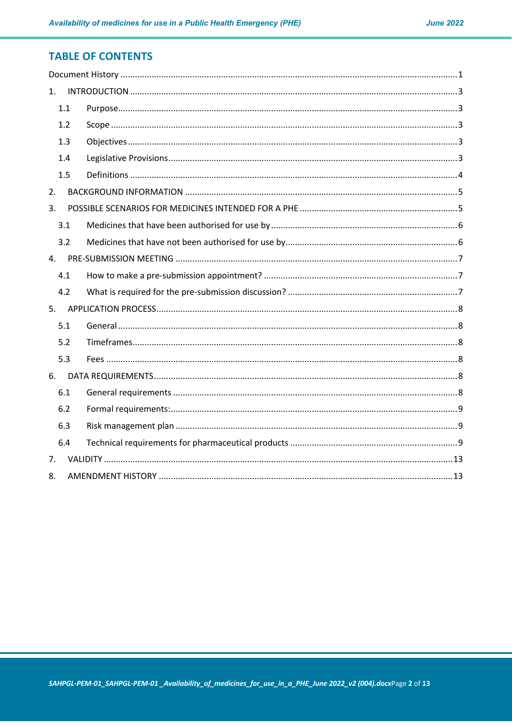## **TABLE OF CONTENTS**

| 1.  |  |  |  |  |  |
|-----|--|--|--|--|--|
| 1.1 |  |  |  |  |  |
| 1.2 |  |  |  |  |  |
| 1.3 |  |  |  |  |  |
| 1.4 |  |  |  |  |  |
| 1.5 |  |  |  |  |  |
| 2.  |  |  |  |  |  |
| 3.  |  |  |  |  |  |
| 3.1 |  |  |  |  |  |
| 3.2 |  |  |  |  |  |
| 4.  |  |  |  |  |  |
| 4.1 |  |  |  |  |  |
| 4.2 |  |  |  |  |  |
|     |  |  |  |  |  |
| 5.1 |  |  |  |  |  |
| 5.2 |  |  |  |  |  |
| 5.3 |  |  |  |  |  |
| 6.  |  |  |  |  |  |
| 6.1 |  |  |  |  |  |
| 6.2 |  |  |  |  |  |
| 6.3 |  |  |  |  |  |
| 6.4 |  |  |  |  |  |
| 7.  |  |  |  |  |  |
| 8.  |  |  |  |  |  |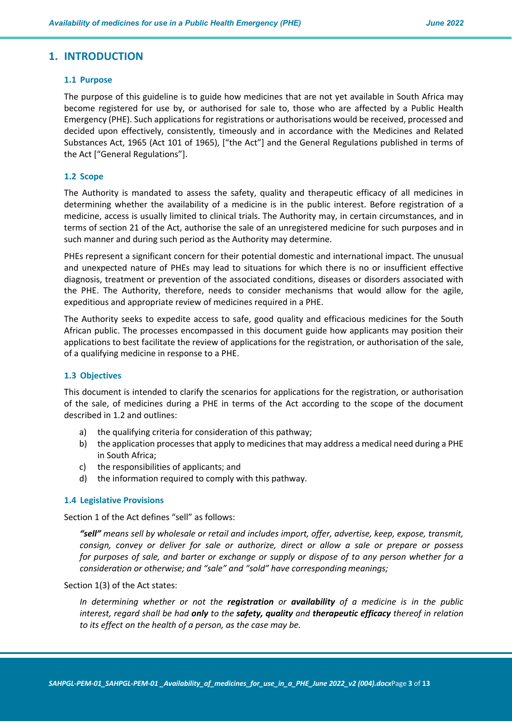### **1. INTRODUCTION**

#### **1.1 Purpose**

The purpose of this guideline is to guide how medicines that are not yet available in South Africa may become registered for use by, or authorised for sale to, those who are affected by a Public Health Emergency (PHE). Such applications for registrations or authorisations would be received, processed and decided upon effectively, consistently, timeously and in accordance with the Medicines and Related Substances Act, 1965 (Act 101 of 1965), ["the Act"] and the General Regulations published in terms of the Act ["General Regulations"].

#### **1.2 Scope**

The Authority is mandated to assess the safety, quality and therapeutic efficacy of all medicines in determining whether the availability of a medicine is in the public interest. Before registration of a medicine, access is usually limited to clinical trials. The Authority may, in certain circumstances, and in terms of section 21 of the Act, authorise the sale of an unregistered medicine for such purposes and in such manner and during such period as the Authority may determine.

PHEs represent a significant concern for their potential domestic and international impact. The unusual and unexpected nature of PHEs may lead to situations for which there is no or insufficient effective diagnosis, treatment or prevention of the associated conditions, diseases or disorders associated with the PHE. The Authority, therefore, needs to consider mechanisms that would allow for the agile, expeditious and appropriate review of medicines required in a PHE.

The Authority seeks to expedite access to safe, good quality and efficacious medicines for the South African public. The processes encompassed in this document guide how applicants may position their applications to best facilitate the review of applications for the registration, or authorisation of the sale, of a qualifying medicine in response to a PHE.

#### **1.3 Objectives**

This document is intended to clarify the scenarios for applications for the registration, or authorisation of the sale, of medicines during a PHE in terms of the Act according to the scope of the document described in 1.2 and outlines:

- a) the qualifying criteria for consideration of this pathway;
- b) the application processesthat apply to medicines that may address a medical need during a PHE in South Africa;
- c) the responsibilities of applicants; and
- d) the information required to comply with this pathway.

#### **1.4 Legislative Provisions**

Section 1 of the Act defines "sell" as follows:

*"sell" means sell by wholesale or retail and includes import, offer, advertise, keep, expose, transmit, consign, convey or deliver for sale or authorize, direct or allow a sale or prepare or possess for purposes of sale, and barter or exchange or supply or dispose of to any person whether for a consideration or otherwise; and "sale" and "sold" have corresponding meanings;*

#### Section 1(3) of the Act states:

*In determining whether or not the registration or availability of a medicine is in the public interest, regard shall be had only to the safety, quality and therapeutic efficacy thereof in relation to its effect on the health of a person, as the case may be.*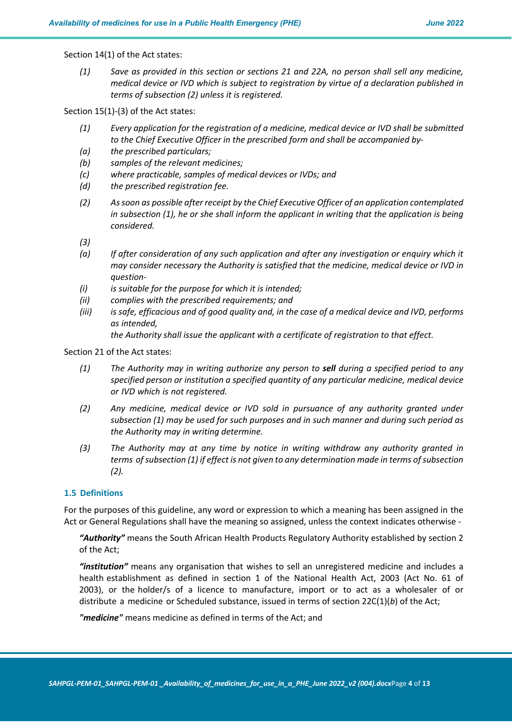Section 14(1) of the Act states:

*(1) Save as provided in this section or sections 21 and 22A, no person shall sell any medicine, medical device or IVD which is subject to registration by virtue of a declaration published in terms of subsection (2) unless it is registered.*

Section 15(1)-(3) of the Act states:

- *(1) Every application for the registration of a medicine, medical device or IVD shall be submitted to the Chief Executive Officer in the prescribed form and shall be accompanied by-*
- *(a) the prescribed particulars;*
- *(b) samples of the relevant medicines;*
- *(c) where practicable, samples of medical devices or IVDs; and*
- *(d) the prescribed registration fee.*
- *(2) As soon as possible after receipt by the Chief Executive Officer of an application contemplated in subsection (1), he or she shall inform the applicant in writing that the application is being considered.*
- *(3)*
- *(a) If after consideration of any such application and after any investigation or enquiry which it may consider necessary the Authority is satisfied that the medicine, medical device or IVD in question-*
- *(i) is suitable for the purpose for which it is intended;*
- *(ii) complies with the prescribed requirements; and*
- *(iii) is safe, efficacious and of good quality and, in the case of a medical device and IVD, performs as intended,*

*the Authority shall issue the applicant with a certificate of registration to that effect.*

#### Section 21 of the Act states:

- *(1) The Authority may in writing authorize any person to sell during a specified period to any specified person or institution a specified quantity of any particular medicine, medical device or IVD which is not registered.*
- *(2) Any medicine, medical device or IVD sold in pursuance of any authority granted under subsection (1) may be used for such purposes and in such manner and during such period as the Authority may in writing determine.*
- *(3) The Authority may at any time by notice in writing withdraw any authority granted in terms of subsection (1) if effect is not given to any determination made in terms of subsection (2).*

#### **1.5 Definitions**

For the purposes of this guideline, any word or expression to which a meaning has been assigned in the Act or General Regulations shall have the meaning so assigned, unless the context indicates otherwise -

*"Authority"* means the South African Health Products Regulatory Authority established by section 2 of the Act;

*"institution"* means any organisation that wishes to sell an unregistered medicine and includes a health establishment as defined in section 1 of the National Health Act, 2003 (Act No. 61 of 2003), or the holder/s of a licence to manufacture, import or to act as a wholesaler of or distribute a medicine or Scheduled substance, issued in terms of section 22C(1)(*b*) of the Act;

*"medicine"* means medicine as defined in terms of the Act; and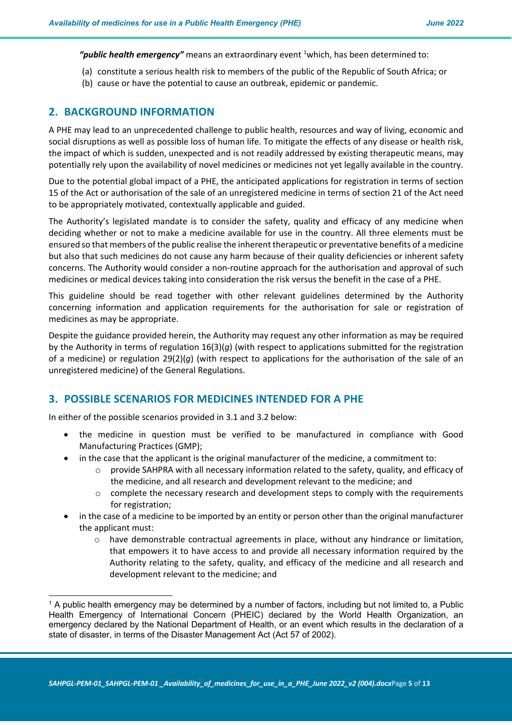"public health emergency" means an extraordinary event <sup>1</sup>which, has been determined to:

- (a) constitute a serious health risk to members of the public of the Republic of South Africa; or
- (b) cause or have the potential to cause an outbreak, epidemic or pandemic.

## **2. BACKGROUND INFORMATION**

A PHE may lead to an unprecedented challenge to public health, resources and way of living, economic and social disruptions as well as possible loss of human life. To mitigate the effects of any disease or health risk, the impact of which is sudden, unexpected and is not readily addressed by existing therapeutic means, may potentially rely upon the availability of novel medicines or medicines not yet legally available in the country.

Due to the potential global impact of a PHE, the anticipated applications for registration in terms of section 15 of the Act or authorisation of the sale of an unregistered medicine in terms of section 21 of the Act need to be appropriately motivated, contextually applicable and guided.

The Authority's legislated mandate is to consider the safety, quality and efficacy of any medicine when deciding whether or not to make a medicine available for use in the country. All three elements must be ensured so that members of the public realise the inherent therapeutic or preventative benefits of a medicine but also that such medicines do not cause any harm because of their quality deficiencies or inherent safety concerns. The Authority would consider a non-routine approach for the authorisation and approval of such medicines or medical devices taking into consideration the risk versus the benefit in the case of a PHE.

This guideline should be read together with other relevant guidelines determined by the Authority concerning information and application requirements for the authorisation for sale or registration of medicines as may be appropriate.

Despite the guidance provided herein, the Authority may request any other information as may be required by the Authority in terms of regulation 16(3)(*g*) (with respect to applications submitted for the registration of a medicine) or regulation 29(2)(*g*) (with respect to applications for the authorisation of the sale of an unregistered medicine) of the General Regulations.

## **3. POSSIBLE SCENARIOS FOR MEDICINES INTENDED FOR A PHE**

In either of the possible scenarios provided in 3.1 and 3.2 below:

- the medicine in question must be verified to be manufactured in compliance with Good Manufacturing Practices (GMP);
- in the case that the applicant is the original manufacturer of the medicine, a commitment to:
	- o provide SAHPRA with all necessary information related to the safety, quality, and efficacy of the medicine, and all research and development relevant to the medicine; and
	- $\circ$  complete the necessary research and development steps to comply with the requirements for registration;
- in the case of a medicine to be imported by an entity or person other than the original manufacturer the applicant must:
	- o have demonstrable contractual agreements in place, without any hindrance or limitation, that empowers it to have access to and provide all necessary information required by the Authority relating to the safety, quality, and efficacy of the medicine and all research and development relevant to the medicine; and

<sup>1</sup> A public health emergency may be determined by a number of factors, including but not limited to, a Public Health Emergency of International Concern (PHEIC) declared by the World Health Organization, an emergency declared by the National Department of Health, or an event which results in the declaration of a state of disaster, in terms of the Disaster Management Act (Act 57 of 2002).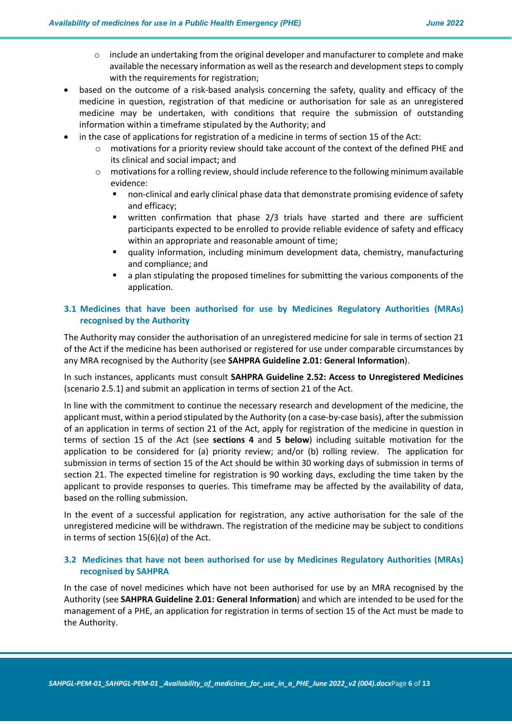- $\circ$  include an undertaking from the original developer and manufacturer to complete and make available the necessary information as well as the research and development steps to comply with the requirements for registration;
- based on the outcome of a risk-based analysis concerning the safety, quality and efficacy of the medicine in question, registration of that medicine or authorisation for sale as an unregistered medicine may be undertaken, with conditions that require the submission of outstanding information within a timeframe stipulated by the Authority; and
- in the case of applications for registration of a medicine in terms of section 15 of the Act:
	- $\circ$  motivations for a priority review should take account of the context of the defined PHE and its clinical and social impact; and
	- $\circ$  motivations for a rolling review, should include reference to the following minimum available evidence:
		- non-clinical and early clinical phase data that demonstrate promising evidence of safety and efficacy;
		- § written confirmation that phase 2/3 trials have started and there are sufficient participants expected to be enrolled to provide reliable evidence of safety and efficacy within an appropriate and reasonable amount of time;
		- § quality information, including minimum development data, chemistry, manufacturing and compliance; and
		- § a plan stipulating the proposed timelines for submitting the various components of the application.

## **3.1 Medicines that have been authorised for use by Medicines Regulatory Authorities (MRAs) recognised by the Authority**

The Authority may consider the authorisation of an unregistered medicine for sale in terms of section 21 of the Act if the medicine has been authorised or registered for use under comparable circumstances by any MRA recognised by the Authority (see **SAHPRA Guideline 2.01: General Information**).

In such instances, applicants must consult **SAHPRA Guideline 2.52: Access to Unregistered Medicines** (scenario 2.5.1) and submit an application in terms of section 21 of the Act.

In line with the commitment to continue the necessary research and development of the medicine, the applicant must, within a period stipulated by the Authority (on a case-by-case basis), after the submission of an application in terms of section 21 of the Act, apply for registration of the medicine in question in terms of section 15 of the Act (see **sections 4** and **5 below**) including suitable motivation for the application to be considered for (a) priority review; and/or (b) rolling review. The application for submission in terms of section 15 of the Act should be within 30 working days of submission in terms of section 21. The expected timeline for registration is 90 working days, excluding the time taken by the applicant to provide responses to queries. This timeframe may be affected by the availability of data, based on the rolling submission.

In the event of a successful application for registration, any active authorisation for the sale of the unregistered medicine will be withdrawn. The registration of the medicine may be subject to conditions in terms of section 15(6)(*a*) of the Act.

#### **3.2 Medicines that have not been authorised for use by Medicines Regulatory Authorities (MRAs) recognised by SAHPRA**

In the case of novel medicines which have not been authorised for use by an MRA recognised by the Authority (see **SAHPRA Guideline 2.01: General Information**) and which are intended to be used for the management of a PHE, an application for registration in terms of section 15 of the Act must be made to the Authority.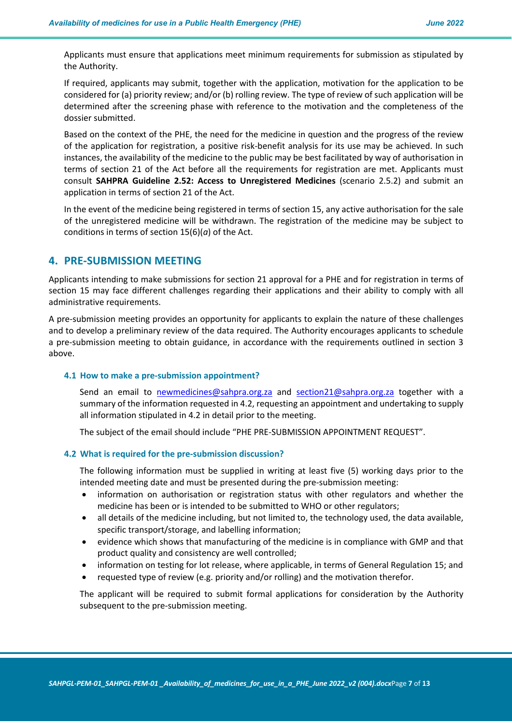Applicants must ensure that applications meet minimum requirements for submission as stipulated by the Authority.

If required, applicants may submit, together with the application, motivation for the application to be considered for (a) priority review; and/or (b) rolling review. The type of review of such application will be determined after the screening phase with reference to the motivation and the completeness of the dossier submitted.

Based on the context of the PHE, the need for the medicine in question and the progress of the review of the application for registration, a positive risk-benefit analysis for its use may be achieved. In such instances, the availability of the medicine to the public may be best facilitated by way of authorisation in terms of section 21 of the Act before all the requirements for registration are met. Applicants must consult **SAHPRA Guideline 2.52: Access to Unregistered Medicines** (scenario 2.5.2) and submit an application in terms of section 21 of the Act.

In the event of the medicine being registered in terms of section 15, any active authorisation for the sale of the unregistered medicine will be withdrawn. The registration of the medicine may be subject to conditions in terms of section 15(6)(*a*) of the Act.

### **4. PRE-SUBMISSION MEETING**

Applicants intending to make submissions for section 21 approval for a PHE and for registration in terms of section 15 may face different challenges regarding their applications and their ability to comply with all administrative requirements.

A pre-submission meeting provides an opportunity for applicants to explain the nature of these challenges and to develop a preliminary review of the data required. The Authority encourages applicants to schedule a pre-submission meeting to obtain guidance, in accordance with the requirements outlined in section 3 above.

#### **4.1 How to make a pre-submission appointment?**

Send an email to newmedicines@sahpra.org.za and section21@sahpra.org.za together with a summary of the information requested in 4.2, requesting an appointment and undertaking to supply all information stipulated in 4.2 in detail prior to the meeting.

The subject of the email should include "PHE PRE-SUBMISSION APPOINTMENT REQUEST".

#### **4.2 What is required for the pre-submission discussion?**

The following information must be supplied in writing at least five (5) working days prior to the intended meeting date and must be presented during the pre-submission meeting:

- information on authorisation or registration status with other regulators and whether the medicine has been or is intended to be submitted to WHO or other regulators;
- all details of the medicine including, but not limited to, the technology used, the data available, specific transport/storage, and labelling information;
- evidence which shows that manufacturing of the medicine is in compliance with GMP and that product quality and consistency are well controlled;
- information on testing for lot release, where applicable, in terms of General Regulation 15; and
- requested type of review (e.g. priority and/or rolling) and the motivation therefor.

The applicant will be required to submit formal applications for consideration by the Authority subsequent to the pre-submission meeting.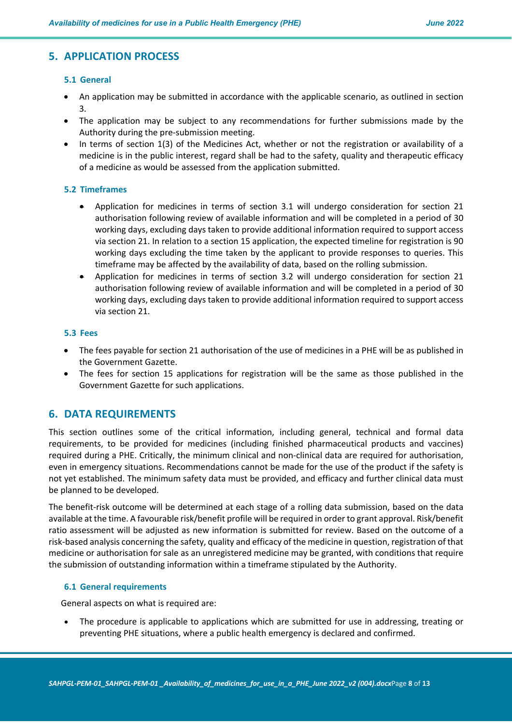## **5. APPLICATION PROCESS**

#### **5.1 General**

- An application may be submitted in accordance with the applicable scenario, as outlined in section 3.
- The application may be subject to any recommendations for further submissions made by the Authority during the pre-submission meeting.
- In terms of section 1(3) of the Medicines Act, whether or not the registration or availability of a medicine is in the public interest, regard shall be had to the safety, quality and therapeutic efficacy of a medicine as would be assessed from the application submitted.

#### **5.2 Timeframes**

- Application for medicines in terms of section 3.1 will undergo consideration for section 21 authorisation following review of available information and will be completed in a period of 30 working days, excluding days taken to provide additional information required to support access via section 21. In relation to a section 15 application, the expected timeline for registration is 90 working days excluding the time taken by the applicant to provide responses to queries. This timeframe may be affected by the availability of data, based on the rolling submission.
- Application for medicines in terms of section 3.2 will undergo consideration for section 21 authorisation following review of available information and will be completed in a period of 30 working days, excluding days taken to provide additional information required to support access via section 21.

#### **5.3 Fees**

- The fees payable for section 21 authorisation of the use of medicines in a PHE will be as published in the Government Gazette.
- The fees for section 15 applications for registration will be the same as those published in the Government Gazette for such applications.

### **6. DATA REQUIREMENTS**

This section outlines some of the critical information, including general, technical and formal data requirements, to be provided for medicines (including finished pharmaceutical products and vaccines) required during a PHE. Critically, the minimum clinical and non-clinical data are required for authorisation, even in emergency situations. Recommendations cannot be made for the use of the product if the safety is not yet established. The minimum safety data must be provided, and efficacy and further clinical data must be planned to be developed.

The benefit-risk outcome will be determined at each stage of a rolling data submission, based on the data available at the time. A favourable risk/benefit profile will be required in order to grant approval. Risk/benefit ratio assessment will be adjusted as new information is submitted for review. Based on the outcome of a risk-based analysis concerning the safety, quality and efficacy of the medicine in question, registration of that medicine or authorisation for sale as an unregistered medicine may be granted, with conditions that require the submission of outstanding information within a timeframe stipulated by the Authority.

#### **6.1 General requirements**

General aspects on what is required are:

The procedure is applicable to applications which are submitted for use in addressing, treating or preventing PHE situations, where a public health emergency is declared and confirmed.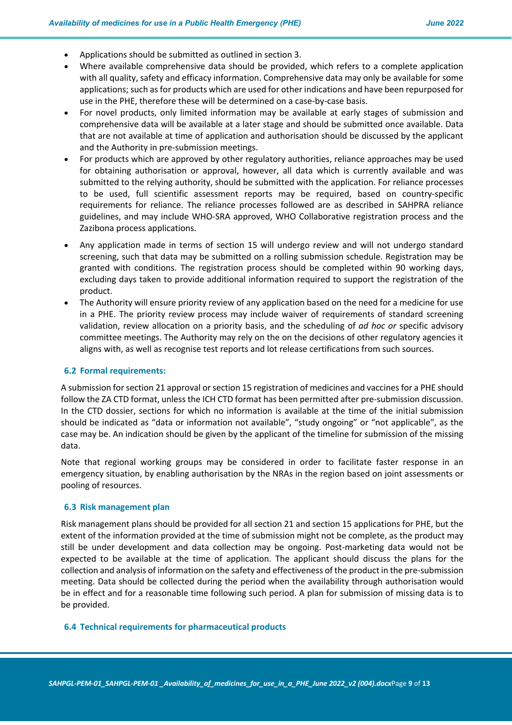- Applications should be submitted as outlined in section 3.
- Where available comprehensive data should be provided, which refers to a complete application with all quality, safety and efficacy information. Comprehensive data may only be available for some applications; such as for products which are used for other indications and have been repurposed for use in the PHE, therefore these will be determined on a case-by-case basis.
- For novel products, only limited information may be available at early stages of submission and comprehensive data will be available at a later stage and should be submitted once available. Data that are not available at time of application and authorisation should be discussed by the applicant and the Authority in pre-submission meetings.
- For products which are approved by other regulatory authorities, reliance approaches may be used for obtaining authorisation or approval, however, all data which is currently available and was submitted to the relying authority, should be submitted with the application. For reliance processes to be used, full scientific assessment reports may be required, based on country-specific requirements for reliance. The reliance processes followed are as described in SAHPRA reliance guidelines, and may include WHO-SRA approved, WHO Collaborative registration process and the Zazibona process applications.
- Any application made in terms of section 15 will undergo review and will not undergo standard screening, such that data may be submitted on a rolling submission schedule. Registration may be granted with conditions. The registration process should be completed within 90 working days, excluding days taken to provide additional information required to support the registration of the product.
- The Authority will ensure priority review of any application based on the need for a medicine for use in a PHE. The priority review process may include waiver of requirements of standard screening validation, review allocation on a priority basis, and the scheduling of *ad hoc or* specific advisory committee meetings. The Authority may rely on the on the decisions of other regulatory agencies it aligns with, as well as recognise test reports and lot release certifications from such sources.

#### **6.2 Formal requirements:**

A submission for section 21 approval or section 15 registration of medicines and vaccines for a PHE should follow the ZA CTD format, unless the ICH CTD format has been permitted after pre-submission discussion. In the CTD dossier, sections for which no information is available at the time of the initial submission should be indicated as "data or information not available", "study ongoing" or "not applicable", as the case may be. An indication should be given by the applicant of the timeline for submission of the missing data.

Note that regional working groups may be considered in order to facilitate faster response in an emergency situation, by enabling authorisation by the NRAs in the region based on joint assessments or pooling of resources.

#### **6.3 Risk management plan**

Risk management plans should be provided for all section 21 and section 15 applications for PHE, but the extent of the information provided at the time of submission might not be complete, as the product may still be under development and data collection may be ongoing. Post-marketing data would not be expected to be available at the time of application. The applicant should discuss the plans for the collection and analysis of information on the safety and effectiveness of the product in the pre-submission meeting. Data should be collected during the period when the availability through authorisation would be in effect and for a reasonable time following such period. A plan for submission of missing data is to be provided.

#### **6.4 Technical requirements for pharmaceutical products**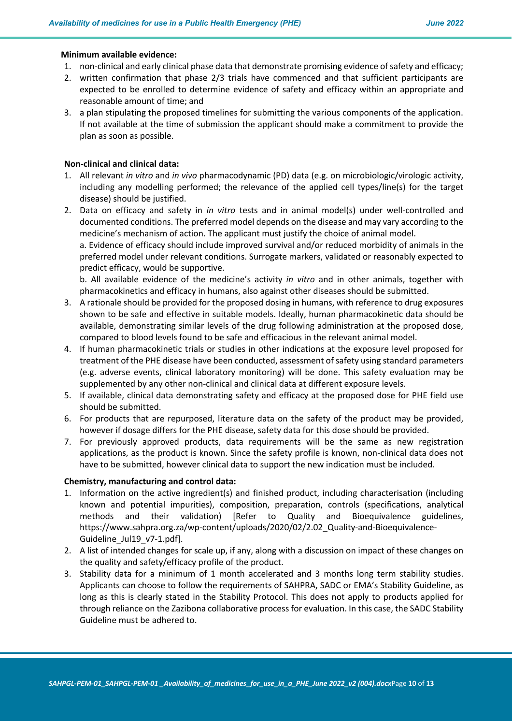#### **Minimum available evidence:**

- 1. non-clinical and early clinical phase data that demonstrate promising evidence of safety and efficacy;
- 2. written confirmation that phase 2/3 trials have commenced and that sufficient participants are expected to be enrolled to determine evidence of safety and efficacy within an appropriate and reasonable amount of time; and
- 3. a plan stipulating the proposed timelines for submitting the various components of the application. If not available at the time of submission the applicant should make a commitment to provide the plan as soon as possible.

#### **Non-clinical and clinical data:**

- 1. All relevant *in vitro* and *in vivo* pharmacodynamic (PD) data (e.g. on microbiologic/virologic activity, including any modelling performed; the relevance of the applied cell types/line(s) for the target disease) should be justified.
- 2. Data on efficacy and safety in *in vitro* tests and in animal model(s) under well-controlled and documented conditions. The preferred model depends on the disease and may vary according to the medicine's mechanism of action. The applicant must justify the choice of animal model. a. Evidence of efficacy should include improved survival and/or reduced morbidity of animals in the

preferred model under relevant conditions. Surrogate markers, validated or reasonably expected to predict efficacy, would be supportive.

b. All available evidence of the medicine's activity *in vitro* and in other animals, together with pharmacokinetics and efficacy in humans, also against other diseases should be submitted.

- 3. A rationale should be provided for the proposed dosing in humans, with reference to drug exposures shown to be safe and effective in suitable models. Ideally, human pharmacokinetic data should be available, demonstrating similar levels of the drug following administration at the proposed dose, compared to blood levels found to be safe and efficacious in the relevant animal model.
- 4. If human pharmacokinetic trials or studies in other indications at the exposure level proposed for treatment of the PHE disease have been conducted, assessment of safety using standard parameters (e.g. adverse events, clinical laboratory monitoring) will be done. This safety evaluation may be supplemented by any other non-clinical and clinical data at different exposure levels.
- 5. If available, clinical data demonstrating safety and efficacy at the proposed dose for PHE field use should be submitted.
- 6. For products that are repurposed, literature data on the safety of the product may be provided, however if dosage differs for the PHE disease, safety data for this dose should be provided.
- 7. For previously approved products, data requirements will be the same as new registration applications, as the product is known. Since the safety profile is known, non-clinical data does not have to be submitted, however clinical data to support the new indication must be included.

#### **Chemistry, manufacturing and control data:**

- 1. Information on the active ingredient(s) and finished product, including characterisation (including known and potential impurities), composition, preparation, controls (specifications, analytical methods and their validation) [Refer to Quality and Bioequivalence guidelines, https://www.sahpra.org.za/wp-content/uploads/2020/02/2.02\_Quality-and-Bioequivalence-Guideline\_Jul19\_v7-1.pdf].
- 2. A list of intended changes for scale up, if any, along with a discussion on impact of these changes on the quality and safety/efficacy profile of the product.
- 3. Stability data for a minimum of 1 month accelerated and 3 months long term stability studies. Applicants can choose to follow the requirements of SAHPRA, SADC or EMA's Stability Guideline, as long as this is clearly stated in the Stability Protocol. This does not apply to products applied for through reliance on the Zazibona collaborative process for evaluation. In this case, the SADC Stability Guideline must be adhered to.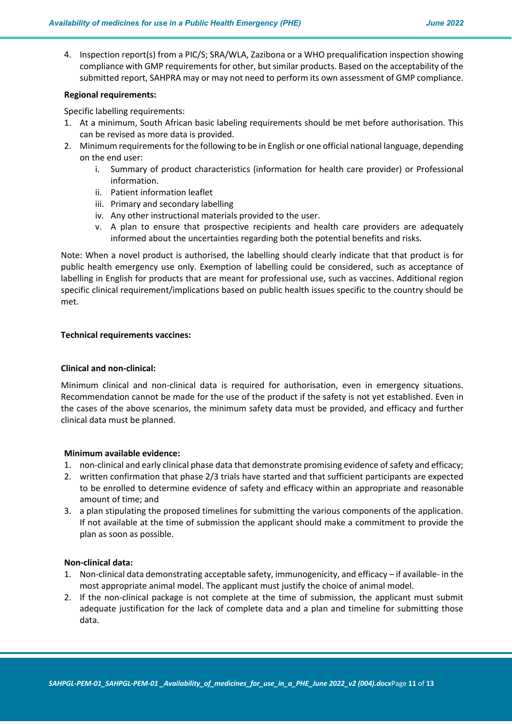4. Inspection report(s) from a PIC/S; SRA/WLA, Zazibona or a WHO prequalification inspection showing compliance with GMP requirements for other, but similar products. Based on the acceptability of the submitted report, SAHPRA may or may not need to perform its own assessment of GMP compliance.

#### **Regional requirements:**

Specific labelling requirements:

- 1. At a minimum, South African basic labeling requirements should be met before authorisation. This can be revised as more data is provided.
- 2. Minimum requirements for the following to be in English or one official national language, depending on the end user:
	- i. Summary of product characteristics (information for health care provider) or Professional information.
	- ii. Patient information leaflet
	- iii. Primary and secondary labelling
	- iv. Any other instructional materials provided to the user.
	- v. A plan to ensure that prospective recipients and health care providers are adequately informed about the uncertainties regarding both the potential benefits and risks.

Note: When a novel product is authorised, the labelling should clearly indicate that that product is for public health emergency use only. Exemption of labelling could be considered, such as acceptance of labelling in English for products that are meant for professional use, such as vaccines. Additional region specific clinical requirement/implications based on public health issues specific to the country should be met.

#### **Technical requirements vaccines:**

#### **Clinical and non-clinical:**

Minimum clinical and non-clinical data is required for authorisation, even in emergency situations. Recommendation cannot be made for the use of the product if the safety is not yet established. Even in the cases of the above scenarios, the minimum safety data must be provided, and efficacy and further clinical data must be planned.

#### **Minimum available evidence:**

- 1. non-clinical and early clinical phase data that demonstrate promising evidence of safety and efficacy;
- 2. written confirmation that phase 2/3 trials have started and that sufficient participants are expected to be enrolled to determine evidence of safety and efficacy within an appropriate and reasonable amount of time; and
- 3. a plan stipulating the proposed timelines for submitting the various components of the application. If not available at the time of submission the applicant should make a commitment to provide the plan as soon as possible.

#### **Non-clinical data:**

- 1. Non-clinical data demonstrating acceptable safety, immunogenicity, and efficacy if available- in the most appropriate animal model. The applicant must justify the choice of animal model.
- 2. If the non-clinical package is not complete at the time of submission, the applicant must submit adequate justification for the lack of complete data and a plan and timeline for submitting those data.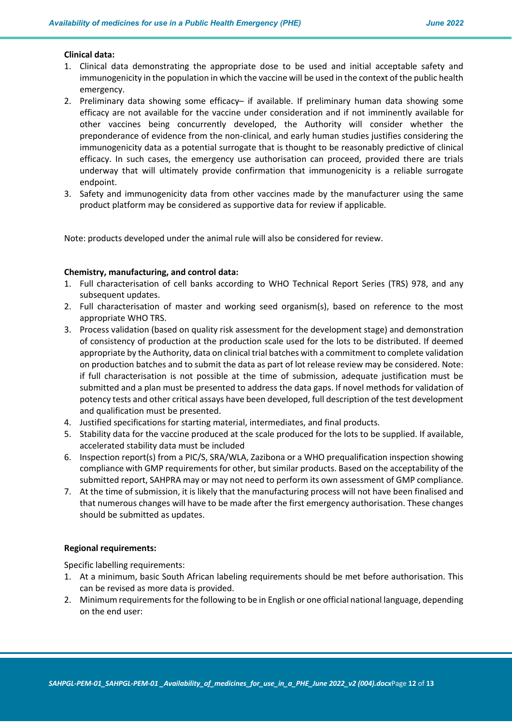#### **Clinical data:**

- 1. Clinical data demonstrating the appropriate dose to be used and initial acceptable safety and immunogenicity in the population in which the vaccine will be used in the context of the public health emergency.
- 2. Preliminary data showing some efficacy– if available. If preliminary human data showing some efficacy are not available for the vaccine under consideration and if not imminently available for other vaccines being concurrently developed, the Authority will consider whether the preponderance of evidence from the non-clinical, and early human studies justifies considering the immunogenicity data as a potential surrogate that is thought to be reasonably predictive of clinical efficacy. In such cases, the emergency use authorisation can proceed, provided there are trials underway that will ultimately provide confirmation that immunogenicity is a reliable surrogate endpoint.
- 3. Safety and immunogenicity data from other vaccines made by the manufacturer using the same product platform may be considered as supportive data for review if applicable.

Note: products developed under the animal rule will also be considered for review.

#### **Chemistry, manufacturing, and control data:**

- 1. Full characterisation of cell banks according to WHO Technical Report Series (TRS) 978, and any subsequent updates.
- 2. Full characterisation of master and working seed organism(s), based on reference to the most appropriate WHO TRS.
- 3. Process validation (based on quality risk assessment for the development stage) and demonstration of consistency of production at the production scale used for the lots to be distributed. If deemed appropriate by the Authority, data on clinical trial batches with a commitment to complete validation on production batches and to submit the data as part of lot release review may be considered. Note: if full characterisation is not possible at the time of submission, adequate justification must be submitted and a plan must be presented to address the data gaps. If novel methods for validation of potency tests and other critical assays have been developed, full description of the test development and qualification must be presented.
- 4. Justified specifications for starting material, intermediates, and final products.
- 5. Stability data for the vaccine produced at the scale produced for the lots to be supplied. If available, accelerated stability data must be included
- 6. Inspection report(s) from a PIC/S, SRA/WLA, Zazibona or a WHO prequalification inspection showing compliance with GMP requirements for other, but similar products. Based on the acceptability of the submitted report, SAHPRA may or may not need to perform its own assessment of GMP compliance.
- 7. At the time of submission, it is likely that the manufacturing process will not have been finalised and that numerous changes will have to be made after the first emergency authorisation. These changes should be submitted as updates.

#### **Regional requirements:**

Specific labelling requirements:

- 1. At a minimum, basic South African labeling requirements should be met before authorisation. This can be revised as more data is provided.
- 2. Minimum requirements for the following to be in English or one official national language, depending on the end user: